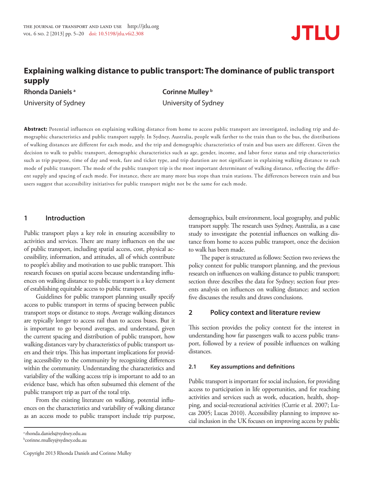

# **Explaining walking distance to public transport: The dominance of public transport supply**

**Rhonda Daniels a Corinne Mulley b Corinne Mulley b** 

University of Sydney University of Sydney

**Abstract:** Potential influences on explaining walking distance from home to access public transport are investigated, including trip and demographic characteristics and public transport supply. In Sydney, Australia, people walk farther to the train than to the bus, the distributions of walking distances are different for each mode, and the trip and demographic characteristics of train and bus users are different. Given the decision to walk to public transport, demographic characteristics such as age, gender, income, and labor force status and trip characteristics such as trip purpose, time of day and week, fare and ticket type, and trip duration are not significant in explaining walking distance to each mode of public transport. The mode of the public transport trip is the most important determinant of walking distance, reflecting the different supply and spacing of each mode. For instance, there are many more bus stops than train stations. The differences between train and bus users suggest that accessibility initiatives for public transport might not be the same for each mode.

# **1 Introduction**

Public transport plays a key role in ensuring accessibility to activities and services. There are many influences on the use of public transport, including spatial access, cost, physical accessibility, information, and attitudes, all of which contribute to people's ability and motivation to use public transport. This research focuses on spatial access because understanding influences on walking distance to public transport is a key element of establishing equitable access to public transport.

Guidelines for public transport planning usually specify access to public transport in terms of spacing between public transport stops or distance to stops. Average walking distances are typically longer to access rail than to access buses. But it is important to go beyond averages, and understand, given the current spacing and distribution of public transport, how walking distances vary by characteristics of public transport users and their trips. This has important implications for providing accessibility to the community by recognizing differences within the community. Understanding the characteristics and variability of the walking access trip is important to add to an evidence base, which has often subsumed this element of the public transport trip as part of the total trip.

From the existing literature on walking, potential influences on the characteristics and variability of walking distance as an access mode to public transport include trip purpose,

demographics, built environment, local geography, and public transport supply. The research uses Sydney, Australia, as a case study to investigate the potential influences on walking distance from home to access public transport, once the decision to walk has been made.

The paper is structured as follows: Section two reviews the policy context for public transport planning, and the previous research on influences on walking distance to public transport; section three describes the data for Sydney; section four presents analysis on influences on walking distance; and section five discusses the results and draws conclusions.

# **2 Policy context and literature review**

This section provides the policy context for the interest in understanding how far passengers walk to access public transport, followed by a review of possible influences on walking distances.

# **2.1 Key assumptions and definitions**

Public transport is important for social inclusion, for providing access to participation in life opportunities, and for reaching activities and services such as work, education, health, shopping, and social-recreational activities (Currie et al. 2007; Lucas 2005; Lucas 2010). Accessibility planning to improve social inclusion in the UK focuses on improving access by public

a [rhonda.daniels@sydney.edu.au](mailto:rhonda.daniels@sydney.edu.au) b [corinne.mulley@sydney.edu.au](mailto:bcorinne.mulley@sydney.edu.au)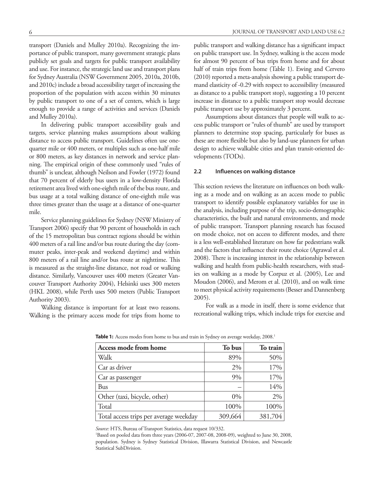transport (Daniels and Mulley 2010a). Recognizing the importance of public transport, many government strategic plans publicly set goals and targets for public transport availability and use. For instance, the strategic land use and transport plans for Sydney Australia (NSW Government 2005, 2010a, 2010b, and 2010c) include a broad accessibility target of increasing the proportion of the population with access within 30 minutes by public transport to one of a set of centers, which is large enough to provide a range of activities and services (Daniels and Mulley 2010a).

In delivering public transport accessibility goals and targets, service planning makes assumptions about walking distance to access public transport. Guidelines often use onequarter mile or 400 meters, or multiples such as one-half mile or 800 meters, as key distances in network and service planning. The empirical origin of these commonly used "rules of thumb" is unclear, although Neilson and Fowler (1972) found that 70 percent of elderly bus users in a low-density Florida retirement area lived with one-eighth mile of the bus route, and bus usage at a total walking distance of one-eighth mile was three times greater than the usage at a distance of one-quarter mile.

Service planning guidelines for Sydney (NSW Ministry of Transport 2006) specify that 90 percent of households in each of the 15 metropolitan bus contract regions should be within 400 meters of a rail line and/or bus route during the day (commuter peaks, inter-peak and weekend daytime) and within 800 meters of a rail line and/or bus route at nighttime. This is measured as the straight-line distance, not road or walking distance. Similarly, Vancouver uses 400 meters (Greater Vancouver Transport Authority 2004), Helsinki uses 300 meters (HKL 2008), while Perth uses 500 meters (Public Transport Authority 2003).

Walking distance is important for at least two reasons. Walking is the primary access mode for trips from home to public transport and walking distance has a significant impact on public transport use. In Sydney, walking is the access mode for almost 90 percent of bus trips from home and for about half of train trips from home (Table 1). Ewing and Cervero (2010) reported a meta-analysis showing a public transport demand elasticity of -0.29 with respect to accessibility (measured as distance to a public transport stop), suggesting a 10 percent increase in distance to a public transport stop would decrease public transport use by approximately 3 percent.

Assumptions about distances that people will walk to access public transport or "rules of thumb" are used by transport planners to determine stop spacing, particularly for buses as these are more flexible but also by land-use planners for urban design to achieve walkable cities and plan transit-oriented developments (TODs).

#### **2.2 Influences on walking distance**

This section reviews the literature on influences on both walking as a mode and on walking as an access mode to public transport to identify possible explanatory variables for use in the analysis, including purpose of the trip, socio-demographic characteristics, the built and natural environments, and mode of public transport. Transport planning research has focused on mode choice, not on access to different modes, and there is a less well-established literature on how far pedestrians walk and the factors that influence their route choice (Agrawal et al. 2008). There is increasing interest in the relationship between walking and health from public-health researchers, with studies on walking as a mode by Corpuz et al. (2005), Lee and Moudon (2006), and Merom et al. (2010), and on walk time to meet physical activity requirements (Besser and Dannenberg 2005).

For walk as a mode in itself, there is some evidence that recreational walking trips, which include trips for exercise and

| Access mode from home                  | To bus  | To train |
|----------------------------------------|---------|----------|
| Walk                                   | 89%     | 50%      |
| Car as driver                          | 2%      | 17%      |
| Car as passenger                       | 9%      | 17%      |
| <b>Bus</b>                             |         | 14%      |
| Other (taxi, bicycle, other)           | $0\%$   | 2%       |
| Total                                  | 100%    | 100%     |
| Total access trips per average weekday | 309,664 | 381,704  |

Table 1: Access modes from home to bus and train in Sydney on average weekday, 2008.<sup>1</sup>

*Source:* HTS, Bureau of Transport Statistics, data request 10/332.

1 Based on pooled data from three years (2006-07, 2007-08, 2008-09), weighted to June 30, 2008, population. Sydney is Sydney Statistical Division, Illawarra Statistical Division, and Newcastle Statistical SubDivision.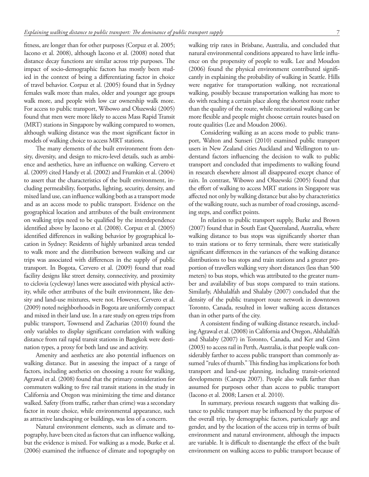fitness, are longer than for other purposes (Corpuz et al. 2005; Iacono et al. 2008), although Iacono et al. (2008) noted that distance decay functions are similar across trip purposes. The impact of socio-demographic factors has mostly been studied in the context of being a differentiating factor in choice of travel behavior. Corpuz et al. (2005) found that in Sydney females walk more than males, older and younger age groups walk more, and people with low car ownership walk more. For access to public transport, Wibowo and Olszewski (2005) found that men were more likely to access Mass Rapid Transit (MRT) stations in Singapore by walking compared to women, although walking distance was the most significant factor in models of walking choice to access MRT stations.

The many elements of the built environment from density, diversity, and design to micro-level details, such as ambience and aesthetics, have an influence on walking. Cervero et al. (2009) cited Handy et al. (2002) and Frumkin et al. (2004) to assert that the characteristics of the built environment, including permeability, footpaths, lighting, security, density, and mixed land use, can influence walking both as a transport mode and as an access mode to public transport. Evidence on the geographical location and attributes of the built environment on walking trips need to be qualified by the interdependence identified above by Iacono et al. (2008). Corpuz et al. (2005) identified differences in walking behavior by geographical location in Sydney: Residents of highly urbanized areas tended to walk more and the distribution between walking and car trips was associated with differences in the supply of public transport. In Bogota, Cervero et al. (2009) found that road facility designs like street density, connectivity, and proximity to ciclovia (cycleway) lanes were associated with physical activity, while other attributes of the built environment, like density and land-use mixtures, were not. However, Cervero et al. (2009) noted neighborhoods in Bogota are uniformly compact and mixed in their land use. In a rare study on egress trips from public transport, Townsend and Zacharias (2010) found the only variables to display significant correlation with walking distance from rail rapid transit stations in Bangkok were destination types, a proxy for both land use and activity.

Amenity and aesthetics are also potential influences on walking distance. But in assessing the impact of a range of factors, including aesthetics on choosing a route for walking, Agrawal et al. (2008) found that the primary consideration for commuters walking to five rail transit stations in the study in California and Oregon was minimizing the time and distance walked. Safety (from traffic, rather than crime) was a secondary factor in route choice, while environmental appearance, such as attractive landscaping or buildings, was less of a concern.

Natural environment elements, such as climate and topography, have been cited as factors that can influence walking, but the evidence is mixed. For walking as a mode, Burke et al. (2006) examined the influence of climate and topography on walking trip rates in Brisbane, Australia, and concluded that natural environmental conditions appeared to have little influence on the propensity of people to walk. Lee and Moudon (2006) found the physical environment contributed significantly in explaining the probability of walking in Seattle. Hills were negative for transportation walking, not recreational walking, possibly because transportation walking has more to do with reaching a certain place along the shortest route rather than the quality of the route, while recreational walking can be more flexible and people might choose certain routes based on route qualities (Lee and Moudon 2006).

Considering walking as an access mode to public transport, Walton and Sunseri (2010) examined public transport users in New Zealand cities Auckland and Wellington to understand factors influencing the decision to walk to public transport and concluded that impediments to walking found in research elsewhere almost all disappeared except chance of rain. In contrast, Wibowo and Olszewski (2005) found that the effort of walking to access MRT stations in Singapore was affected not only by walking distance but also by characteristics of the walking route, such as number of road crossings, ascending steps, and conflict points.

In relation to public transport supply, Burke and Brown (2007) found that in South East Queensland, Australia, where walking distance to bus stops was significantly shorter than to train stations or to ferry terminals, there were statistically significant differences in the variances of the walking distance distributions to bus stops and train stations and a greater proportion of travellers walking very short distances (less than 500 meters) to bus stops, which was attributed to the greater number and availability of bus stops compared to train stations. Similarly, Alshalalfah and Shalaby (2007) concluded that the density of the public transport route network in downtown Toronto, Canada, resulted in lower walking access distances than in other parts of the city.

A consistent finding of walking distance research, including Agrawal et al. (2008) in California and Oregon, Alshalalfah and Shalaby (2007) in Toronto, Canada, and Ker and Ginn (2003) to access rail in Perth, Australia, is that people walk considerably farther to access public transport than commonly assumed "rules of thumb." This finding has implications for both transport and land-use planning, including transit-oriented developments (Canepa 2007). People also walk farther than assumed for purposes other than access to public transport (Iacono et al. 2008; Larsen et al. 2010).

In summary, previous research suggests that walking distance to public transport may be influenced by the purpose of the overall trip, by demographic factors, particularly age and gender, and by the location of the access trip in terms of built environment and natural environment, although the impacts are variable. It is difficult to disentangle the effect of the built environment on walking access to public transport because of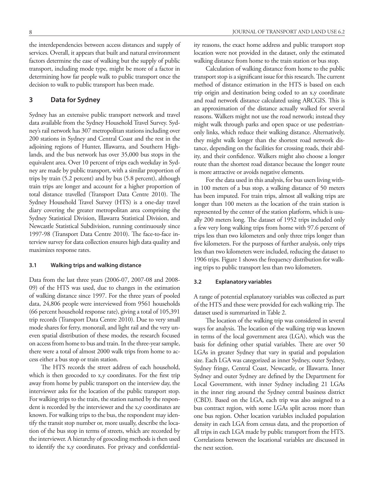the interdependencies between access distances and supply of services. Overall, it appears that built and natural environment factors determine the ease of walking but the supply of public transport, including mode type, might be more of a factor in determining how far people walk to public transport once the decision to walk to public transport has been made.

# **3 Data for Sydney**

Sydney has an extensive public transport network and travel data available from the Sydney Household Travel Survey. Sydney's rail network has 307 metropolitan stations including over 200 stations in Sydney and Central Coast and the rest in the adjoining regions of Hunter, Illawarra, and Southern Highlands, and the bus network has over 35,000 bus stops in the equivalent area. Over 10 percent of trips each weekday in Sydney are made by public transport, with a similar proportion of trips by train (5.2 percent) and by bus (5.8 percent), although train trips are longer and account for a higher proportion of total distance travelled (Transport Data Centre 2010). The Sydney Household Travel Survey (HTS) is a one-day travel diary covering the greater metropolitan area comprising the Sydney Statistical Division, Illawarra Statistical Division, and Newcastle Statistical Subdivision, running continuously since 1997-98 (Transport Data Centre 2010). The face-to-face interview survey for data collection ensures high data quality and maximizes response rates.

### **3.1 Walking trips and walking distance**

Data from the last three years (2006-07, 2007-08 and 2008- 09) of the HTS was used, due to changes in the estimation of walking distance since 1997. For the three years of pooled data, 24,806 people were interviewed from 9561 households (66 percent household response rate), giving a total of 105,391 trip records (Transport Data Centre 2010). Due to very small mode shares for ferry, monorail, and light rail and the very uneven spatial distribution of these modes, the research focused on access from home to bus and train. In the three-year sample, there were a total of almost 2000 walk trips from home to access either a bus stop or train station.

The HTS records the street address of each household, which is then geocoded to x,y coordinates. For the first trip away from home by public transport on the interview day, the interviewer asks for the location of the public transport stop. For walking trips to the train, the station named by the respondent is recorded by the interviewer and the x,y coordinates are known. For walking trips to the bus, the respondent may identify the transit stop number or, more usually, describe the location of the bus stop in terms of streets, which are recorded by the interviewer. A hierarchy of geocoding methods is then used to identify the x,y coordinates. For privacy and confidentiality reasons, the exact home address and public transport stop location were not provided in the dataset, only the estimated walking distance from home to the train station or bus stop.

Calculation of walking distance from home to the public transport stop is a significant issue for this research. The current method of distance estimation in the HTS is based on each trip origin and destination being coded to an x,y coordinate and road network distance calculated using ARCGIS. This is an approximation of the distance actually walked for several reasons. Walkers might not use the road network; instead they might walk through parks and open space or use pedestrianonly links, which reduce their walking distance. Alternatively, they might walk longer than the shortest road network distance, depending on the facilities for crossing roads, their ability, and their confidence. Walkers might also choose a longer route than the shortest road distance because the longer route is more attractive or avoids negative elements.

For the data used in this analysis, for bus users living within 100 meters of a bus stop, a walking distance of 50 meters has been imputed. For train trips, almost all walking trips are longer than 100 meters as the location of the train station is represented by the center of the station platform, which is usually 200 meters long. The dataset of 1952 trips included only a few very long walking trips from home with 97.6 percent of trips less than two kilometers and only three trips longer than five kilometers. For the purposes of further analysis, only trips less than two kilometers were included, reducing the dataset to 1906 trips. Figure 1 shows the frequency distribution for walking trips to public transport less than two kilometers.

### **3.2 Explanatory variables**

A range of potential explanatory variables was collected as part of the HTS and these were provided for each walking trip. The dataset used is summarized in Table 2.

The location of the walking trip was considered in several ways for analysis. The location of the walking trip was known in terms of the local government area (LGA), which was the basis for defining other spatial variables. There are over 50 LGAs in greater Sydney that vary in spatial and population size. Each LGA was categorized as inner Sydney, outer Sydney, Sydney fringe, Central Coast, Newcastle, or Illawarra. Inner Sydney and outer Sydney are defined by the Department for Local Government, with inner Sydney including 21 LGAs in the inner ring around the Sydney central business district (CBD). Based on the LGA, each trip was also assigned to a bus contract region, with some LGAs split across more than one bus region. Other location variables included population density in each LGA from census data, and the proportion of all trips in each LGA made by public transport from the HTS. Correlations between the locational variables are discussed in the next section.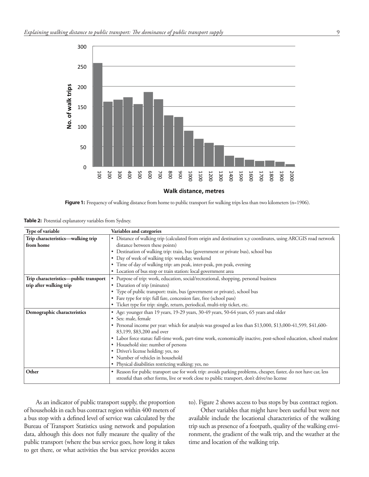

**Figure 1:** Frequency of walking distance from home to public transport for walking trips less than two kilometers (n=1906).

**Table 2:** Potential explanatory variables from Sydney.

| Type of variable                      | Variables and categories                                                                                                                                                                                       |  |  |  |  |  |
|---------------------------------------|----------------------------------------------------------------------------------------------------------------------------------------------------------------------------------------------------------------|--|--|--|--|--|
| Trip characteristics-walking trip     | • Distance of walking trip (calculated from origin and destination x,y coordinates, using ARCGIS road network                                                                                                  |  |  |  |  |  |
| from home                             | distance between these points)                                                                                                                                                                                 |  |  |  |  |  |
|                                       | Destination of walking trip: train, bus (government or private bus), school bus                                                                                                                                |  |  |  |  |  |
|                                       | • Day of week of walking trip: weekday, weekend                                                                                                                                                                |  |  |  |  |  |
|                                       | • Time of day of walking trip: am peak, inter-peak, pm peak, evening                                                                                                                                           |  |  |  |  |  |
|                                       | • Location of bus stop or train station: local government area                                                                                                                                                 |  |  |  |  |  |
| Trip characteristics-public transport | • Purpose of trip: work, education, social/recreational, shopping, personal business                                                                                                                           |  |  |  |  |  |
| trip after walking trip               | • Duration of trip (minutes)                                                                                                                                                                                   |  |  |  |  |  |
|                                       | • Type of public transport: train, bus (government or private), school bus                                                                                                                                     |  |  |  |  |  |
|                                       | • Fare type for trip: full fare, concession fare, free (school pass)                                                                                                                                           |  |  |  |  |  |
|                                       | · Ticket type for trip: single, return, periodical, multi-trip ticket, etc.                                                                                                                                    |  |  |  |  |  |
| Demographic characteristics           | • Age: younger than 19 years, 19-29 years, 30-49 years, 50-64 years, 65 years and older                                                                                                                        |  |  |  |  |  |
|                                       | • Sex: male, female                                                                                                                                                                                            |  |  |  |  |  |
|                                       | • Personal income per year: which for analysis was grouped as less than \$13,000, \$13,000-41,599, \$41,600-                                                                                                   |  |  |  |  |  |
|                                       | 83,199, \$83,200 and over                                                                                                                                                                                      |  |  |  |  |  |
|                                       | • Labor force status: full-time work, part-time work, economically inactive, post-school education, school student                                                                                             |  |  |  |  |  |
|                                       | • Household size: number of persons                                                                                                                                                                            |  |  |  |  |  |
|                                       | • Driver's license holding: yes, no                                                                                                                                                                            |  |  |  |  |  |
|                                       | • Number of vehicles in household                                                                                                                                                                              |  |  |  |  |  |
|                                       | • Physical disabilities restricting walking: yes, no                                                                                                                                                           |  |  |  |  |  |
| Other                                 | • Reason for public transport use for work trip: avoids parking problems, cheaper, faster, do not have car, less<br>stressful than other forms, live or work close to public transport, don't drive/no license |  |  |  |  |  |

As an indicator of public transport supply, the proportion of households in each bus contract region within 400 meters of a bus stop with a defined level of service was calculated by the Bureau of Transport Statistics using network and population data, although this does not fully measure the quality of the public transport (where the bus service goes, how long it takes to get there, or what activities the bus service provides access to). Figure 2 shows access to bus stops by bus contract region.

Other variables that might have been useful but were not available include the locational characteristics of the walking trip such as presence of a footpath, quality of the walking environment, the gradient of the walk trip, and the weather at the time and location of the walking trip.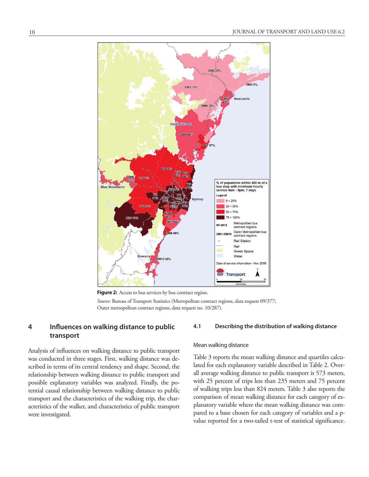

Figure 2: Access to bus services by bus contract region.

*Source:* Bureau of Transport Statistics (Metropolitan contract regions, data request 09/377; Outer metropolitan contract regions, data request no. 10/287).

# **4 Influences on walking distance to public transport**

Analysis of influences on walking distance to public transport was conducted in three stages. First, walking distance was described in terms of its central tendency and shape. Second, the relationship between walking distance to public transport and possible explanatory variables was analyzed. Finally, the potential causal relationship between walking distance to public transport and the characteristics of the walking trip, the characteristics of the walker, and characteristics of public transport were investigated.

#### **4.1 Describing the distribution of walking distance**

#### Mean walking distance

Table 3 reports the mean walking distance and quartiles calculated for each explanatory variable described in Table 2. Overall average walking distance to public transport is 573 meters, with 25 percent of trips less than 235 meters and 75 percent of walking trips less than 824 meters. Table 3 also reports the comparison of mean walking distance for each category of explanatory variable where the mean walking distance was compared to a base chosen for each category of variables and a pvalue reported for a two-tailed t-test of statistical significance.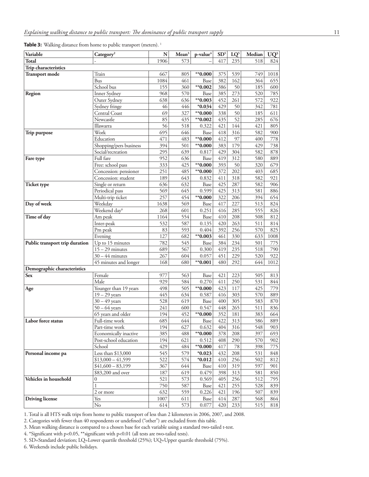Table 3: Walking distance from home to public transport (meters).<sup>1</sup>

| Variable                       | Category <sup>2</sup>    | N    | Mean <sup>3</sup> | p-value <sup>4</sup> | SD <sup>5</sup> | $LQ^5$ | Median | $UQ^5$ |
|--------------------------------|--------------------------|------|-------------------|----------------------|-----------------|--------|--------|--------|
| <b>Total</b>                   |                          | 1906 | 573               |                      | 417             | 235    | 518    | 824    |
| Trip characteristics           |                          |      |                   |                      |                 |        |        |        |
| <b>Transport mode</b>          | Train                    | 667  | 805               | $*$ 0.000            | 375             | 539    | 749    | 1018   |
|                                | <b>Bus</b>               | 1084 | 461               | Base                 | 382             | 162    | 364    | 655    |
|                                | School bus               | 155  | 360               | $**0.002$            | 386             | 50     | 185    | 600    |
| Region                         | Inner Sydney             | 968  | 570               | Base                 | 385             | 273    | 520    | 785    |
|                                | Outer Sydney             | 638  | 636               | $*$ 0.003            | 452             | 261    | 572    | 922    |
|                                | Sydney fringe            | 46   | 446               | $*0.034$             | 429             | 50     | 342    | 781    |
|                                | Central Coast            | 69   | 327               | $*$ 0.000            | 338             | 50     | 185    | 611    |
|                                | Newcastle                | 85   | 435               | $*$ 0.002            | 435             | 52     | 285    | 676    |
|                                | Illawarra                | 56   | 518               | 0.322                | 421             | 144    | 421    | 805    |
| Trip purpose                   | Work                     | 695  | 646               | Base                 | 418             | 316    | 582    | 900    |
|                                | Education                | 471  | 483               | $*0.000$             | 412             | 97     | 400    | 778    |
|                                | Shopping/pers business   | 394  | 501               | $*$ 0.000            | 383             | 179    | 429    | 738    |
|                                | Social/recreation        | 295  | 639               | 0.817                | 429             | 304    | 582    | 878    |
| Fare type                      | Full fare                | 952  | 636               | Base                 | 419             | 312    | 580    | 889    |
|                                | Free: school pass        | 333  | 425               | $*0.000$             | 393             | 50     | 320    | 679    |
|                                | Concession: pensioner    | 251  | 485               | $*0.000$             | 372             | 202    | 403    | 685    |
|                                | Concession: student      | 189  | 643               | 0.832                | 411             | 318    | 582    | 921    |
| <b>Ticket type</b>             | Single or return         | 636  | 632               | Base                 | 425             | 287    | 582    | 906    |
|                                | Periodical pass          | 569  | 645               | 0.599                | 425             | 313    | 581    | 886    |
|                                | Multi-trip ticket        | 257  | 454               | $*$ 0.000            | 322             | 206    | 394    | 654    |
| Day of week                    | Weekday                  | 1638 | 569               | Base                 | 417             | 227    | 513    | 824    |
|                                | Weekend day <sup>6</sup> | 268  | 601               | 0.251                | 416             | 285    | 555    | 826    |
| Time of day                    | Am peak                  | 1164 | 554               | Base                 | 410             | 208    | 508    | 812    |
|                                | Inter-peak               | 532  | 587               | 0.135                | 420             | 263    | 511    | 814    |
|                                | Pm peak                  | 83   | 593               | 0.404                | 392             | 256    | 570    | 825    |
|                                | Evening                  | 127  | 682               | $*$ 0.003            | 461             | 330    | 633    | 1008   |
| Public transport trip duration | Up to 15 minutes         | 782  | 545               | Base                 | 384             | 234    | 501    | 775    |
|                                | $15 - 29$ minutes        | 689  | 567               | 0.300                | 419             | 235    | 518    | 790    |
|                                | $30 - 44$ minutes        | 267  | 604               | 0.057                | 451             | 229    | 520    | 922    |
|                                | 45 minutes and longer    | 168  | 680               | $*$ 0.001            | 480             | 292    | 644    | 1012   |
| Demographic characteristics    |                          |      |                   |                      |                 |        |        |        |
| <b>Sex</b>                     | Female                   | 977  | 563               | Base                 | 421             | 223    | 505    | 813    |
|                                | Male                     | 929  | 584               | 0.270                | 411             | 250    | 531    | 844    |
| Age                            | Younger than 19 years    | 498  | 505               | $*0.000$             | 423             | 117    | 425    | 779    |
|                                | $19 - 29$ years          | 445  | 634               | 0.587                | 416             | 303    | 570    | 889    |
|                                | $30 - 49$ years          | 528  | 619               | Base                 | 400             | 305    | 583    | 870    |
|                                | $50 - 64$ years          | 241  | 600               | 0.547                | 448             | 265    | 511    | 836    |
|                                | 65 years and older       | 194  | 452               | $*0.000$             | 352             | 181    | 383    | 664    |
| Labor force status             | Full-time work           | 685  | 644               | Base                 | 422             | 313    | 586    | 889    |
|                                | Part-time work           | 194  | 627               | 0.632                | 404             | 316    | 548    | 903    |
|                                | Economically inactive    | 385  | 488               | $*$ 0.000            | 378             | 208    | 397    | 693    |
|                                | Post-school education    | 194  | 621               | 0.512                | 408             | 290    | 570    | 902    |
|                                | School                   | 429  | 484               | $*0.000$             | 417             | 78     | 398    | 775    |
| Personal income pa             | Less than \$13,000       | 545  | 579               | $*0.023$             | 432             | 208    | 531    | 848    |
|                                | $$13,000 - 41,599$       | 522  | 574               | $*0.012$             | 410             | 256    | 502    | 812    |
|                                | $$41,600 - 83,199$       | 367  | 644               | Base                 | 410             | 319    | 597    | 901    |
|                                | \$83,200 and over        | 187  | 619               | 0.479                | 398             | 313    | 581    | 850    |
| Vehicles in household          | $\boldsymbol{0}$         | 521  | 573               | 0.569                | 405             | 256    | 512    | 795    |
|                                | $\mathbf{1}$             | 750  | 587               | Base                 | 421             | 255    | 528    | 839    |
|                                | 2 or more                | 632  | 559               | 0.226                | 421             | 196    | 507    | 839    |
| <b>Driving license</b>         | Yes                      | 1007 | 611               | Base                 | 414             | 287    | 568    | 864    |
|                                | No                       | 614  | 573               | 0.077                | 420             | 233    | 515    | 818    |

1. Total is all HTS walk trips from home to public transport of less than 2 kilometers in 2006, 2007, and 2008.

2. Categories with fewer than 40 respondents or undefined ("other") are excluded from this table.

3. Mean walking distance is compared to a chosen base for each variable using a standard two-tailed t-test.

4. \*Significant with p<0.05, \*\*significant with p<0.01 (all tests are two-tailed tests).

5. SD=Standard deviation; LQ=Lower quartile threshold (25%); UQ=Upper quartile threshold (75%).

6. Weekends include public holidays.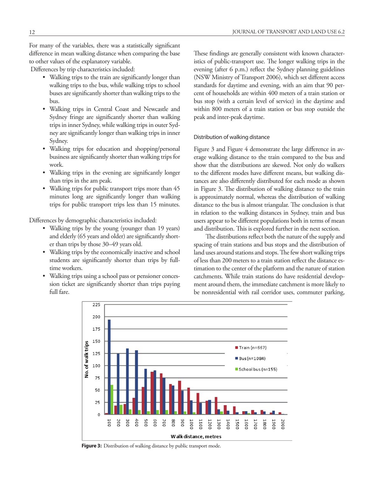For many of the variables, there was a statistically significant difference in mean walking distance when comparing the base to other values of the explanatory variable.

Differences by trip characteristics included:

- Walking trips to the train are significantly longer than walking trips to the bus, while walking trips to school buses are significantly shorter than walking trips to the bus.
- • Walking trips in Central Coast and Newcastle and Sydney fringe are significantly shorter than walking trips in inner Sydney, while walking trips in outer Sydney are significantly longer than walking trips in inner Sydney.
- • Walking trips for education and shopping/personal business are significantly shorter than walking trips for work.
- Walking trips in the evening are significantly longer than trips in the am peak.
- Walking trips for public transport trips more than 45 minutes long are significantly longer than walking trips for public transport trips less than 15 minutes.

Differences by demographic characteristics included:

- • Walking trips by the young (younger than 19 years) and elderly (65 years and older) are significantly shorter than trips by those 30–49 years old.
- Walking trips by the economically inactive and school students are significantly shorter than trips by fulltime workers.
- • Walking trips using a school pass or pensioner concession ticket are significantly shorter than trips paying full fare.

These findings are generally consistent with known characteristics of public-transport use. The longer walking trips in the evening (after 6 p.m.) reflect the Sydney planning guidelines (NSW Ministry of Transport 2006), which set different access standards for daytime and evening, with an aim that 90 percent of households are within 400 meters of a train station or bus stop (with a certain level of service) in the daytime and within 800 meters of a train station or bus stop outside the peak and inter-peak daytime.

#### Distribution of walking distance

Figure 3 and Figure 4 demonstrate the large difference in average walking distance to the train compared to the bus and show that the distributions are skewed. Not only do walkers to the different modes have different means, but walking distances are also differently distributed for each mode as shown in Figure 3. The distribution of walking distance to the train is approximately normal, whereas the distribution of walking distance to the bus is almost triangular. The conclusion is that in relation to the walking distances in Sydney, train and bus users appear to be different populations both in terms of mean and distribution. This is explored further in the next section.

The distributions reflect both the nature of the supply and spacing of train stations and bus stops and the distribution of land uses around stations and stops. The few short walking trips of less than 200 meters to a train station reflect the distance estimation to the center of the platform and the nature of station catchments. While train stations do have residential development around them, the immediate catchment is more likely to be nonresidential with rail corridor uses, commuter parking,



Figure 3: Distribution of walking distance by public transport mode.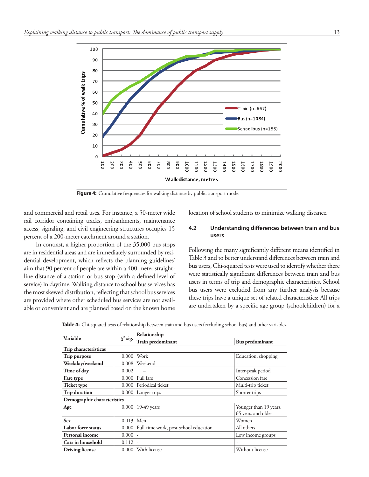

Figure 4: Cumulative frequencies for walking distance by public transport mode.

and commercial and retail uses. For instance, a 50-meter wide rail corridor containing tracks, embankments, maintenance access, signaling, and civil engineering structures occupies 15 percent of a 200-meter catchment around a station.

In contrast, a higher proportion of the 35,000 bus stops are in residential areas and are immediately surrounded by residential development, which reflects the planning guidelines' aim that 90 percent of people are within a 400-meter straightline distance of a station or bus stop (with a defined level of service) in daytime. Walking distance to school bus services has the most skewed distribution, reflecting that school bus services are provided where other scheduled bus services are not available or convenient and are planned based on the known home location of school students to minimize walking distance.

# **4.2 Understanding differences between train and bus users**

Following the many significantly different means identified in Table 3 and to better understand differences between train and bus users, Chi-squared tests were used to identify whether there were statistically significant differences between train and bus users in terms of trip and demographic characteristics. School bus users were excluded from any further analysis because these trips have a unique set of related characteristics: All trips are undertaken by a specific age group (schoolchildren) for a

|                             |               | Relationship                          |                        |  |  |  |
|-----------------------------|---------------|---------------------------------------|------------------------|--|--|--|
| Variable                    | $\chi^2$ sig. | Train predominant                     | <b>Bus predominant</b> |  |  |  |
| Trip characteristicas       |               |                                       |                        |  |  |  |
| Trip purpose                | 0.000         | Work                                  | Education, shopping    |  |  |  |
| Weekday/weekend             | 0.008         | Weekend                               |                        |  |  |  |
| Time of day                 | 0.002         |                                       | Inter-peak period      |  |  |  |
| Fare type                   |               | $0.000$ Full fare                     | Concession fare        |  |  |  |
| <b>Ticket type</b>          |               | 0.000 Periodical ticket               | Multi-trip ticket      |  |  |  |
| <b>Trip duration</b>        |               | $0.000$ Longer trips                  | Shorter trips          |  |  |  |
| Demographic characteristics |               |                                       |                        |  |  |  |
| Age                         | 0.000         | $19-49$ years                         | Younger than 19 years, |  |  |  |
|                             |               |                                       | 65 years and older     |  |  |  |
| <b>Sex</b>                  | 0.013         | Men                                   | Women                  |  |  |  |
| Labor force status          | 0.0001        | Full-time work, post-school education | All others             |  |  |  |
| Personal income             | 0.000         | $\overline{\phantom{a}}$              | Low income groups      |  |  |  |
| Cars in household           | 0.112         | ٠                                     |                        |  |  |  |
| <b>Driving license</b>      | 0.000         | With license                          | Without license        |  |  |  |

**Table 4:** Chi-squared tests of relationship between train and bus users (excluding school bus) and other variables.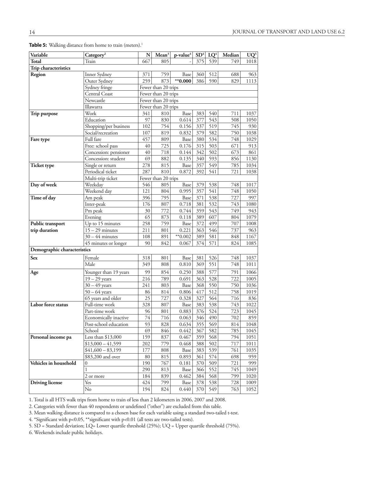| Variable                    | Category <sup>2</sup>                         | N        | Mean <sup>3</sup>   | p-value <sup>4</sup> | SD <sup>4</sup> | $LQ^4$ | Median | $UQ^5$ |
|-----------------------------|-----------------------------------------------|----------|---------------------|----------------------|-----------------|--------|--------|--------|
| Total                       | Train                                         | 667      | 805                 |                      | 375             | 539    | 749    | 1018   |
| Trip characteristics        |                                               |          |                     |                      |                 |        |        |        |
| Region                      | Inner Sydney                                  | 371      | 759                 | Base                 | 360             | 512    | 688    | 963    |
|                             | Outer Sydney                                  | 259      | 873                 | $*0.000$             | 386             | 590    | 829    | 1113   |
|                             | Sydney fringe                                 |          | Fewer than 20 trips |                      |                 |        |        |        |
|                             | Central Coast                                 |          | Fewer than 20 trips |                      |                 |        |        |        |
|                             | Newcastle                                     |          | Fewer than 20 trips |                      |                 |        |        |        |
|                             | Illawarra                                     |          | Fewer than 20 trips |                      |                 |        |        |        |
| Trip purpose                | Work                                          | 341      | 810                 | Base                 | 383             | 540    | 711    | 1037   |
|                             | Education                                     | 97       | 830                 | 0.614                | 377             | 543    | 508    | 1050   |
|                             | Shopping/per business                         | 102      | 754                 | 0.156                | 337             | 519    | 745    | 930    |
|                             | Social/recreation                             | 107      | 819                 | 0.832                | 379             | 582    | 750    | 1038   |
| Fare type                   | Full fare                                     | 457      | 809                 | Base                 | 380             | 534    | 748    | 1029   |
|                             | Free: school pass                             | 40       | 725                 | 0.176                | 315             | 503    | 671    | 913    |
|                             | Concession: pensioner                         | 40       | 718                 | 0.144                | 342             | 502    | 673    | 861    |
|                             | Concession: student                           | 69       | 882                 | 0.135                | 340             | 593    | 856    | 1130   |
| <b>Ticket type</b>          | Single or return                              | 278      | 815                 | Base                 | 357             | 549    | 785    | 1034   |
|                             | Periodical ticket                             | 287      | 810                 | 0.872                | 392             | 541    | 721    | 1038   |
|                             | Multi-trip ticket                             |          | Fewer than 20 trips |                      |                 |        |        |        |
| Day of week                 | Weekday                                       | 546      | 805                 | Base                 | 379             | 538    | 748    | 1017   |
|                             | Weekend day                                   | 121      | 804                 | 0.995                | 357             | 541    | 748    | 1050   |
| Time of day                 | Am peak                                       | 396      | 795                 | Base                 | 371             | 538    | 727    | 997    |
|                             | Inter-peak                                    | 176      | 807                 | 0.718                | 381             | 532    | 743    | 1080   |
|                             | Pm peak                                       | 30       | 772                 | 0.744                | 359             | 543    | 749    | 943    |
|                             | Evening                                       | 65       | 873                 | 0.118                | 389             | 607    | 804    | 1079   |
| Public transport            | Up to 15 minutes                              | 258      | 759                 | Base                 | 372             | 499    | 707    | 1008   |
| trip duration               | $15 - 29$ minutes                             | 211      | 801                 | 0.221                | 363             | 546    | 737    | 963    |
|                             | $30 - 44$ minutes                             | 108      | 891                 | $*$ 0.002            | 389             | 581    | 848    | 1167   |
|                             | 45 minutes or longer                          | 90       | 842                 | 0.067                | 374             | 571    | 824    | 1085   |
| Demographic characteristics |                                               |          |                     |                      |                 |        |        |        |
| Sex                         | Female                                        | 318      | 801                 | Base                 | 381             | 526    | 748    | 1037   |
|                             | Male                                          | 349      | 808                 | $0.810\,$            | 369             | 551    | 748    | 1011   |
|                             |                                               |          |                     |                      |                 |        |        |        |
| Age                         | Younger than 19 years                         | 99       | 854                 | 0.250                | 388             | 577    | 791    | 1066   |
|                             | $19 - 29$ years<br>$\overline{30} - 49$ years | 216      | 789                 | 0.691                | 363             | 528    | 722    | 1005   |
|                             |                                               | 241      | 803                 | Base                 | 368             | 550    | 750    | 1036   |
|                             | $50 - 64$ years                               | 86<br>25 | 814                 | 0.806                | 417             | 512    | 758    | 1019   |
| Labor force status          | 65 years and older<br>Full-time work          |          | 727                 | 0.328                | 327             | 564    | 716    | 836    |
|                             |                                               | 328      | 807                 | Base                 | 383             | 538    | 743    | 1022   |
|                             | Part-time work                                | 96       | 801                 | 0.883                | 376             | 524    | 723    | 1045   |
|                             | Economically inactive                         | $74\,$   | 716                 | 0.063                | 346             | 490    | 702    | 859    |
|                             | Post-school education                         | 93       | 828                 | 0.634                | 355             | 569    | 814    | 1048   |
|                             | School                                        | 69       | 846                 | 0.442                | 367             | 582    | 785    | 1045   |
| Personal income pa          | Less than \$13,000                            | 159      | 837                 | 0.467                | 359             | 568    | 794    | 1051   |
|                             | $$13,000 - 41,599$                            | 202      | 779                 | 0.468                | 388             | 502    | 717    | 1011   |
|                             | $$41,600 - 83,199$                            | 177      | 808                 | Base                 | 383             | 539    | 761    | 1035   |
|                             | \$83,200 and over                             | 80       | 815                 | 0.893                | 361             | 574    | 698    | 959    |
| Vehicles in household       | $\overline{0}$                                | 190      | 767                 | 0.181                | 370             | 509    | 721    | 999    |
|                             | 1                                             | 290      | 813                 | Base                 | 366             | 552    | 745    | 1049   |
|                             | 2 or more                                     | 184      | 839                 | 0.462                | 384             | 568    | 799    | 1020   |
| <b>Driving license</b>      | Yes                                           | 424      | 799                 | Base                 | 378             | 538    | 728    | 1009   |
|                             | No                                            | 194      | 824                 | 0.440                | 370             | 549    | 763    | 1052   |

Table 5: Walking distance from home to train (meters).<sup>1</sup>

1. Total is all HTS walk trips from home to train of less than 2 kilometers in 2006, 2007 and 2008.

2. Categories with fewer than 40 respondents or undefined ("other") are excluded from this table.

3. Mean walking distance is compared to a chosen base for each variable using a standard two-tailed t-test.

4. \*Significant with p<0.05, \*\*significant with p<0.01 (all tests are two-tailed tests).

5. SD = Standard deviation; LQ= Lower quartile threshold (25%); UQ = Upper quartile threshold (75%).

6. Weekends include public holidays.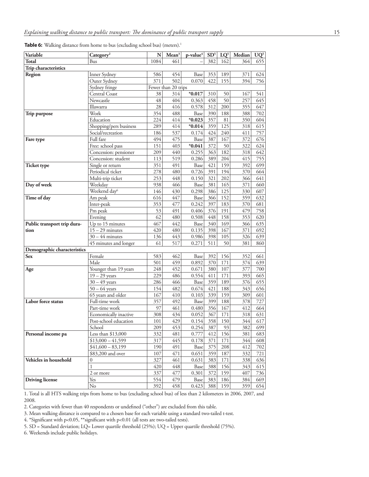|  | Table 6: Walking distance from home to bus (excluding school bus) (meters). <sup>1</sup> |  |  |  |  |
|--|------------------------------------------------------------------------------------------|--|--|--|--|
|--|------------------------------------------------------------------------------------------|--|--|--|--|

| Variable                    | Category <sup>2</sup>    | N          | Mean <sup>3</sup>   | p-value <sup>4</sup> | SD <sup>5</sup> | $LQ^5$     | Median     | $UQ^5$     |
|-----------------------------|--------------------------|------------|---------------------|----------------------|-----------------|------------|------------|------------|
| <b>Total</b>                | Bus                      | 1084       | 461                 |                      | 382             | 162        | 364        | 655        |
| Trip characteristics        |                          |            |                     |                      |                 |            |            |            |
| Region                      | Inner Sydney             | 586        | 454                 | Base                 | 353             | 189        | 371        | 624        |
|                             | Outer Sydney             | 371        | 502                 | 0.070                | 422             | 155        | 394        | 756        |
|                             | Sydney fringe            |            | Fewer than 20 trips |                      |                 |            |            |            |
|                             | Central Coast            | 38         | 314                 | $*0.017$             | 310             | 50         | 167        | 541        |
|                             | Newcastle                | 48         | 404                 | 0.363                | 458             | 50         | 257        | 645        |
|                             | Illawarra                | 28         | 416                 | 0.578                | 312             | 200        | 355        | 647        |
| Trip purpose                | Work                     | 354        | 488                 | Base                 | 390             | 188        | 388        | 702        |
|                             | Education                | 224        | 414                 | $*0.023$             | 357             | 81         | 350        | 604        |
|                             | Shopping/pers business   | 289        | 414                 | $*0.014$             | 359             | 125        | 318        | 615        |
|                             | Social/recreation        | 186        | 537                 | 0.174                | 424             | 240        | 411        | 757        |
| Fare type                   | Full fare                | 494        | 475                 | Base                 | 387             | 167        | 372        | 676        |
|                             | Free: school pass        | 151        | 403                 | $*0.041$             | 372             | 50         | 322        | 624        |
|                             | Concession: pensioner    | 209        | 440                 | 0.255                | 363             | 182        | 318        | 642        |
|                             | Concession: student      | 113        | 519                 | 0.286                | 389             | 204        | 415        | 755        |
| <b>Ticket type</b>          | Single or return         | 351        | 491                 | Base                 | 421             | 159        | 392        | 699        |
|                             | Periodical ticket        | 278        | 480                 | 0.726                | 391             | 194        | 370        | 664        |
|                             | Multi-trip ticket        | 253        | 448                 | 0.150                | 321             | 202        | 366        | 641        |
| Day of week                 | Weekday                  | 938        | 466                 | Base                 | 381             | 165        | 371        | 660        |
|                             | Weekend day <sup>6</sup> | 146        | 430                 | 0.298                | 386             | 125        | 330        | 607        |
| Time of day                 | Am peak                  | 616<br>353 | 447                 | Base                 | 366             | 152        | 359        | 632        |
|                             | Inter-peak               |            | 477                 | 0.242<br>0.406       | 397             | 183        | 370        | 681        |
|                             | Pm peak<br>Evening       | 53<br>62   | 491                 |                      | 376<br>448      | 191        | 479        | 758        |
| Public transport trip dura- | Up to 15 minutes         | 467        | 480<br>442          | 0.508<br>Base        | 340             | 158<br>169 | 353<br>366 | 620<br>635 |
| tion                        | $15 - 29$ minutes        | 420        | 480                 | 0.135                | 398             | 167        | 371        | 692        |
|                             | $30 - 44$ minutes        | 136        | 443                 | 0.986                | 398             | 105        | 326        | 639        |
|                             | 45 minutes and longer    | 61         | 517                 | 0.271                | 511             | 50         | 381        | 860        |
| Demographic characteristics |                          |            |                     |                      |                 |            |            |            |
| Sex                         | Female                   | 583        | 462                 | Base                 | 392             | 156        | 352        | 661        |
|                             | Male                     | 501        | 459                 | 0.892                | 370             | 171        | 374        | 639        |
| Age                         | Younger than 19 years    | 248        | 452                 | 0.671                | 380             | 107        | 377        | 700        |
|                             | $19 - 29$ years          | 229        | 486                 | 0.554                | 411             | 171        | 393        | 665        |
|                             | $30 - 49$ years          | 286        | 466                 | Base                 | 359             | 189        | 376        | 655        |
|                             | $50 - 64$ years          | 154        | 482                 | 0.674                | 421             | 188        | 343        | 656        |
|                             | 65 years and older       | 167        | 410                 | 0.103                | 339             | 159        | 309        | 601        |
| Labor force status          | Full-time work           | 357        | 492                 | Base                 | 399             | 188        | 378        | 727        |
|                             | Part-time work           | 97         | 461                 | 0.480                | 356             | 167        | 412        | 664        |
|                             | Economically inactive    | 308        | 434                 | 0.052                | 367             | 171        | 318        | 631        |
|                             | Post-school education    | $101\,$    | 429                 | 0.154                | 358             | 150        | 344        | 617        |
|                             | School                   | 209        | 453                 | 0.254                | 387             | 93         | 382        | 699        |
| Personal income pa          | Less than $$13,000$      | 332        | 481                 | 0.777                | 412             | 156        | 381        | 683        |
|                             | $$13,000 - 41,599$       | 317        | 445                 | 0.178                | 371             | 171        | 344        | 608        |
|                             | $$41,600 - 83,199$       | 190        | 491                 | Base                 | 375             | 208        | 412        | 702        |
|                             | \$83,200 and over        | 107        | 471                 | 0.651                | 359             | 187        | 332        | 721        |
| Vehicles in household       | $\overline{0}$           | 327        | 461                 | 0.631                | 383             | 171        | 338        | 636        |
|                             | $\mathbf{1}$             | 420        | 448                 | Base                 | 388             | 156        | 343        | 615        |
|                             | 2 or more                | 337        | 477                 | 0.301                | 372             | 159        | 407        | 736        |
| <b>Driving license</b>      | Yes                      | 554        | 479                 | Base                 | 383             | 186        | 384        | 669        |
|                             | No                       | 392        | 458                 | 0.423                | 388             | 159        | 359        | 654        |

1. Total is all HTS walking trips from home to bus (excluding school bus) of less than 2 kilometers in 2006, 2007, and 2008.

2. Categories with fewer than 40 respondents or undefined ("other") are excluded from this table.

3. Mean walking distance is compared to a chosen base for each variable using a standard two-tailed t-test.

4. \*Significant with p<0.05, \*\*significant with p<0.01 (all tests are two-tailed tests).

5. SD = Standard deviation; LQ= Lower quartile threshold (25%); UQ = Upper quartile threshold (75%).

6. Weekends include public holidays.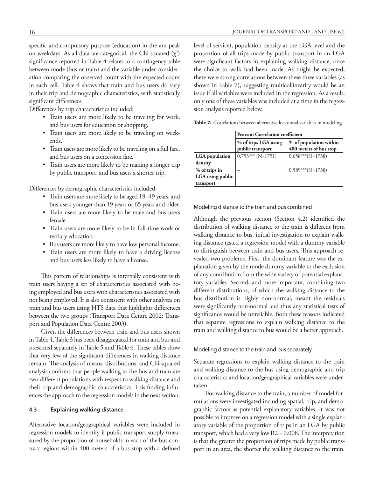specific and compulsory purpose (education) in the am peak on weekdays. As all data are categorical, the Chi-squared  $(\chi^2)$ significance reported in Table 4 relates to a contingency table between mode (bus or train) and the variable under consideration comparing the observed count with the expected count in each cell. Table 4 shows that train and bus users do vary in their trip and demographic characteristics, with statistically significant differences.

Differences by trip characteristics included:

- • Train users are more likely to be traveling for work, and bus users for education or shopping.
- • Train users are more likely to be traveling on weekends.
- • Train users are more likely to be traveling on a full fare, and bus users on a concession fare.
- • Train users are more likely to be making a longer trip by public transport, and bus users a shorter trip.

Differences by demographic characteristics included:

- • Train users are more likely to be aged 19–49 years, and bus users younger than 19 years or 65 years and older.
- • Train users are more likely to be male and bus users female.
- • Train users are more likely to be in full-time work or tertiary education.
- • Bus users are more likely to have low personal income.
- • Train users are more likely to have a driving license and bus users less likely to have a license.

This pattern of relationships is internally consistent with train users having a set of characteristics associated with being employed and bus users with characteristics associated with not being employed. It is also consistent with other analyses on train and bus users using HTS data that highlights differences between the two groups (Transport Data Centre 2002: Transport and Population Data Centre 2003).

Given the differences between train and bus users shown in Table 4, Table 3 has been disaggregated for train and bus and presented separately in Table 5 and Table 6. These tables show that very few of the significant differences in walking distance remain. The analysis of means, distributions, and Chi-squared analysis confirms that people walking to the bus and train are two different populations with respect to walking distance and their trip and demographic characteristics. This finding influences the approach to the regression models in the next section.

### **4.3 Explaining walking distance**

Alternative location/geographical variables were included in regression models to identify if public transport supply (measured by the proportion of households in each of the bus contract regions within 400 meters of a bus stop with a defined level of service), population density at the LGA level and the proportion of all trips made by public transport in an LGA were significant factors in explaining walking distance, once the choice to walk had been made. As might be expected, there were strong correlations between these three variables (as shown in Table 7), suggesting multicollinearity would be an issue if all variables were included in the regression. As a result, only one of these variables was included at a time in the regression analysis reported below.

**Table 7:** Correlations between alternative locational variables in modeling.

|                  | <b>Pearson Correlation coefficient</b> |                        |  |  |  |  |  |
|------------------|----------------------------------------|------------------------|--|--|--|--|--|
|                  | % of trips LGA using                   | % of population within |  |  |  |  |  |
|                  | public transport                       | 400 meters of bus stop |  |  |  |  |  |
| LGA population   | $0.753***$ (N=1751)                    | $0.658***$ (N=1738)    |  |  |  |  |  |
| density          |                                        |                        |  |  |  |  |  |
| $%$ of trips in  |                                        | $0.589***$ (N=1738)    |  |  |  |  |  |
| LGA using public |                                        |                        |  |  |  |  |  |
| transport        |                                        |                        |  |  |  |  |  |

#### Modeling distance to the train and bus combined

Although the previous section (Section 4.2) identified the distribution of walking distance to the train is different from walking distance to bus, initial investigation to explain walking distance tested a regression model with a dummy variable to distinguish between train and bus users. This approach revealed two problems. First, the dominant feature was the explanation given by the mode dummy variable to the exclusion of any contribution from the wide variety of potential explanatory variables. Second, and more important, combining two different distributions, of which the walking distance to the bus distribution is highly non-normal, meant the residuals were significantly non-normal and thus any statistical tests of significance would be unreliable. Both these reasons indicated that separate regressions to explain walking distance to the train and walking distance to bus would be a better approach.

#### Modeling distance to the train and bus separately

Separate regressions to explain walking distance to the train and walking distance to the bus using demographic and trip characteristics and location/geographical variables were undertaken.

For walking distance to the train, a number of model formulations were investigated including spatial, trip, and demographic factors as potential explanatory variables. It was not possible to improve on a regression model with a single explanatory variable of the proportion of trips in an LGA by public transport, which had a very low R2 = 0.008. The interpretation is that the greater the proportion of trips made by public transport in an area, the shorter the walking distance to the train.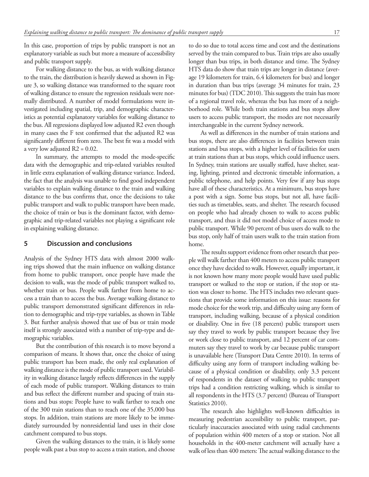In this case, proportion of trips by public transport is not an explanatory variable as such but more a measure of accessibility and public transport supply.

For walking distance to the bus, as with walking distance to the train, the distribution is heavily skewed as shown in Figure 3, so walking distance was transformed to the square root of walking distance to ensure the regression residuals were normally distributed. A number of model formulations were investigated including spatial, trip, and demographic characteristics as potential explanatory variables for walking distance to the bus. All regressions displayed low adjusted R2 even though in many cases the F test confirmed that the adjusted R2 was significantly different from zero. The best fit was a model with a very low adjusted R2 = 0.02.

In summary, the attempts to model the mode-specific data with the demographic and trip-related variables resulted in little extra explanation of walking distance variance. Indeed, the fact that the analysis was unable to find good independent variables to explain walking distance to the train and walking distance to the bus confirms that, once the decisions to take public transport and walk to public transport have been made, the choice of train or bus is the dominant factor, with demographic and trip-related variables not playing a significant role in explaining walking distance.

# **5 Discussion and conclusions**

Analysis of the Sydney HTS data with almost 2000 walking trips showed that the main influence on walking distance from home to public transport, once people have made the decision to walk, was the mode of public transport walked to, whether train or bus. People walk farther from home to access a train than to access the bus. Average walking distance to public transport demonstrated significant differences in relation to demographic and trip-type variables, as shown in Table 3. But further analysis showed that use of bus or train mode itself is strongly associated with a number of trip-type and demographic variables.

But the contribution of this research is to move beyond a comparison of means. It shows that, once the choice of using public transport has been made, the only real explanation of walking distance is the mode of public transport used. Variability in walking distance largely reflects differences in the supply of each mode of public transport. Walking distances to train and bus reflect the different number and spacing of train stations and bus stops: People have to walk farther to reach one of the 300 train stations than to reach one of the 35,000 bus stops. In addition, train stations are more likely to be immediately surrounded by nonresidential land uses in their close catchment compared to bus stops.

Given the walking distances to the train, it is likely some people walk past a bus stop to access a train station, and choose to do so due to total access time and cost and the destinations served by the train compared to bus. Train trips are also usually longer than bus trips, in both distance and time. The Sydney HTS data do show that train trips are longer in distance (average 19 kilometers for train, 6.4 kilometers for bus) and longer in duration than bus trips (average 34 minutes for train, 23 minutes for bus) (TDC 2010). This suggests the train has more of a regional travel role, whereas the bus has more of a neighborhood role. While both train stations and bus stops allow users to access public transport, the modes are not necessarily interchangeable in the current Sydney network.

As well as differences in the number of train stations and bus stops, there are also differences in facilities between train stations and bus stops, with a higher level of facilities for users at train stations than at bus stops, which could influence users. In Sydney, train stations are usually staffed, have shelter, seating, lighting, printed and electronic timetable information, a public telephone, and help points. Very few if any bus stops have all of these characteristics. At a minimum, bus stops have a post with a sign. Some bus stops, but not all, have facilities such as timetables, seats, and shelter. The research focused on people who had already chosen to walk to access public transport, and thus it did not model choice of access mode to public transport. While 90 percent of bus users do walk to the bus stop, only half of train users walk to the train station from home.

The results support evidence from other research that people will walk farther than 400 meters to access public transport once they have decided to walk. However, equally important, it is not known how many more people would have used public transport or walked to the stop or station, if the stop or station was closer to home. The HTS includes two relevant questions that provide some information on this issue: reasons for mode choice for the work trip, and difficulty using any form of transport, including walking, because of a physical condition or disability. One in five (18 percent) public transport users say they travel to work by public transport because they live or work close to public transport, and 12 percent of car commuters say they travel to work by car because public transport is unavailable here (Transport Data Centre 2010). In terms of difficulty using any form of transport including walking because of a physical condition or disability, only 3.3 percent of respondents in the dataset of walking to public transport trips had a condition restricting walking, which is similar to all respondents in the HTS (3.7 percent) (Bureau of Transport Statistics 2010).

The research also highlights well-known difficulties in measuring pedestrian accessibility to public transport, particularly inaccuracies associated with using radial catchments of population within 400 meters of a stop or station. Not all households in the 400-meter catchment will actually have a walk of less than 400 meters: The actual walking distance to the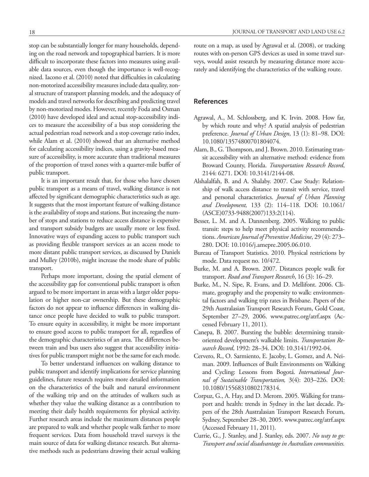stop can be substantially longer for many households, depending on the road network and topographical barriers. It is more difficult to incorporate these factors into measures using available data sources, even though the importance is well-recognized. Iacono et al. (2010) noted that difficulties in calculating non-motorized accessibility measures include data quality, zonal structure of transport planning models, and the adequacy of models and travel networks for describing and predicting travel by non-motorized modes. However, recently Foda and Osman (2010) have developed ideal and actual stop-accessibility indices to measure the accessibility of a bus stop considering the actual pedestrian road network and a stop coverage ratio index, while Alam et al. (2010) showed that an alternative method for calculating accessibility indices, using a gravity-based measure of accessibility, is more accurate than traditional measures of the proportion of travel zones with a quarter-mile buffer of public transport.

It is an important result that, for those who have chosen public transport as a means of travel, walking distance is not affected by significant demographic characteristics such as age. It suggests that the most important feature of walking distance is the availability of stops and stations. But increasing the number of stops and stations to reduce access distance is expensive and transport subsidy budgets are usually more or less fixed. Innovative ways of expanding access to public transport such as providing flexible transport services as an access mode to more distant public transport services, as discussed by Daniels and Mulley (2010b), might increase the mode share of public transport.

Perhaps more important, closing the spatial element of the accessibility gap for conventional public transport is often argued to be more important in areas with a larger older population or higher non-car ownership. But these demographic factors do not appear to influence differences in walking distance once people have decided to walk to public transport. To ensure equity in accessibility, it might be more important to ensure good access to public transport for all, regardless of the demographic characteristics of an area. The differences between train and bus users also suggest that accessibility initiatives for public transport might not be the same for each mode.

To better understand influences on walking distance to public transport and identify implications for service planning guidelines, future research requires more detailed information on the characteristics of the built and natural environment of the walking trip and on the attitudes of walkers such as whether they value the walking distance as a contribution to meeting their daily health requirements for physical activity. Further research areas include the maximum distances people are prepared to walk and whether people walk farther to more frequent services. Data from household travel surveys is the main source of data for walking distance research. But alternative methods such as pedestrians drawing their actual walking route on a map, as used by Agrawal et al. (2008), or tracking routes with on-person GPS devices as used in some travel surveys, would assist research by measuring distance more accurately and identifying the characteristics of the walking route.

### **References**

- Agrawal, A., M. Schlossberg, and K. Irvin. 2008. How far, by which route and why? A spatial analysis of pedestrian preference. *Journal of Urban Design*, 13 (1): 81–98. DOI: 10.1080/13574800701804074.
- Alam, B., G. Thompson, and J. Brown. 2010. Estimating transit accessibility with an alternative method: evidence from Broward County, Florida. *Transportation Research Record*, 2144: 6271. DOI: 10.3141/2144-08.
- Alshalalfah, B. and A. Shalaby. 2007. Case Study: Relationship of walk access distance to transit with service, travel and personal characteristics. *Journal of Urban Planning and Development,* 133 (2): 114–118. DOI: 10.1061/ (ASCE)0733-9488(2007)133:2(114).
- Besser, L. M. and A. Dannenberg. 2005. Walking to public transit: steps to help meet physical activity recommendations. *American Journal of Preventive Medicine*, 29 (4): 273– 280. DOI:<10.1016/j.amepre>.2005.06.010.
- Bureau of Transport Statistics. 2010. Physical restrictions by mode. Data request no. 10/472.
- Burke, M. and A. Brown. 2007. Distances people walk for transport. *Road and Transport Research*, 16 (3): 16–29.
- Burke, M., N. Sipe, R. Evans, and D. Mellifont. 2006. Climate, geography and the propensity to walk: environmental factors and walking trip rates in Brisbane. Papers of the 29th Australasian Transport Research Forum, Gold Coast, September 27–29, 2006. <www.patrec.org/atrf.aspx>(Accessed February 11, 2011).
- Canepa, B. 2007. Bursting the bubble: determining transitoriented development's walkable limits. *Transportation Research Record*, 1992: 28–34. DOI: 10.3141/1992-04.
- Cervero, R., O. Sarmiento, E. Jacoby, L. Gomez, and A. Neiman. 2009. Influences of Built Environments on Walking and Cycling: Lessons from Bogotá. *International Journal of Sustainable Transportation,* 3(4): 203–226. DOI: 10.1080/15568310802178314.
- Corpuz, G., A. Hay, and D. Merom. 2005. Walking for transport and health: trends in Sydney in the last decade. Papers of the 28th Australasian Transport Research Forum, Sydney, September 28–30, 2005.<www.patrec.org/atrf.aspx> (Accessed February 11, 2011).
- Currie, G., J. Stanley, and J. Stanley, eds. 2007. *No way to go: Transport and social disadvantage in Australian communities.*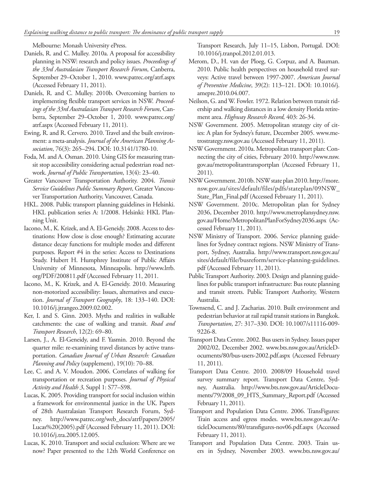Melbourne: Monash University ePress.

- Daniels, R. and C. Mulley. 2010a. A proposal for accessibility planning in NSW: research and policy issues. *Proceedings of the 33rd Australasian Transport Research Forum*, Canberra, September 29–October 1, 2010. <www.patrec.org/atrf.aspx> (Accessed February 11, 2011).
- Daniels, R. and C. Mulley. 2010b. Overcoming barriers to implementing flexible transport services in NSW. *Proceedings of the 33rd Australasian Transport Research Forum*, Canberra, September 29–October 1, 2010. [www.patrec.org/](www.patrec.org/atrf.aspx) [atrf.aspx](www.patrec.org/atrf.aspx) (Accessed February 11, 2011).
- Ewing, R. and R. Cervero. 2010. Travel and the built environment: a meta-analysis. *Journal of the American Planning Association*, 76(3): 265–294. DOI: 10.3141/1780-10.
- Foda, M. and A. Osman. 2010. Using GIS for measuring transit stop accessibility considering actual pedestrian road network. *Journal of Public Transportation*, 13(4): 23–40.
- Greater Vancouver Transportation Authority. 2004. *Transit Service Guidelines Public Summary Report*, Greater Vancouver Transportation Authority, Vancouver, Canada.
- HKL. 2008. Public transport planning guidelines in Helsinki. HKL publication series A: 1/2008. Helsinki: HKL Planning Unit.
- Iacono, M., K. Krizek, and A. El-Geneidy. 2008. Access to destinations: How close is close enough? Estimating accurate distance decay functions for multiple modes and different purposes. Report #4 in the series: Access to Destinations Study. Hubert H. Humphrey Institute of Public Affairs University of Minnesota, Minneapolis. [http://www.lrrb.](http://www.lrrb.org/PDF/200811.pdf) [org/PDF/200811.pdf](http://www.lrrb.org/PDF/200811.pdf) (Accessed February 11, 2011.
- Iacono, M., K. Krizek, and A. El-Geneidy. 2010. Measuring non-motorized accessibility: Issues, alternatives and execution. *Journal of Transport Geography*, 18: 133–140. DOI: <10.1016/j.jtrangeo>.2009.02.002.
- Ker, I. and S. Ginn. 2003. Myths and realities in walkable catchments: the case of walking and transit. *Road and Transport Research*, 12(2): 69–80.
- Larsen, J., A. El-Geneidy, and F. Yasmin. 2010. Beyond the quarter mile: re-examining travel distances by active transportation. *Canadian Journal of Urban Research: Canadian Planning and Policy* (supplement), 19(10): 70–88.
- Lee, C. and A. V. Moudon. 2006. Correlates of walking for transportation or recreation purposes. *Journal of Physical Activity and Health 3*, Suppl 1: S77–S98.
- Lucas, K. 2005. Providing transport for social inclusion within a framework for environmental justice in the UK. Papers of 28th Australasian Transport Research Forum, Sydney. [http://www.patrec.org/web\\_docs/atrf/papers/2005/](http://www.patrec.org/web_docs/atrf/papers/2005/Lucas) [Lucas%](http://www.patrec.org/web_docs/atrf/papers/2005/Lucas)20(2005).pdf (Accessed February 11, 2011). DOI: <10.1016/j.tra>.2005.12.005.
- Lucas, K. 2010. Transport and social exclusion: Where are we now? Paper presented to the 12th World Conference on

Transport Research, July 11–15, Lisbon, Portugal. DOI: <10.1016/j.tranpol>.2012.01.013.

- Merom, D., H. van der Ploeg, G. Corpuz, and A. Bauman. 2010. Public health perspectives on household travel surveys: Active travel between 1997-2007. *American Journal of Preventive Medicine*, 39(2): 113–121. DOI: [10.1016/j.](10.1016/j.amepre) [amepre.](10.1016/j.amepre)2010.04.007.
- Neilson, G. and W. Fowler. 1972. Relation between transit ridership and walking distances in a low density Florida retirement area. *Highway Research Record,* 403: 26-34.
- NSW Government. 2005. Metropolitan strategy city of cities: A plan for Sydney's future, December 2005. [www.me](www.metrostrategy.nsw.gov.au)[trostrategy.nsw.gov.au](www.metrostrategy.nsw.gov.au) (Accessed February 11, 2011).
- NSW Government. 2010a. Metropolitan transport plan: Connecting the city of cities, February 2010. [http://www.nsw.](http://www.nsw.gov.au/metropolitantransportplan) [gov.au/metropolitantransportplan](http://www.nsw.gov.au/metropolitantransportplan) (Accessed February 11, 2011).
- NSW Government. 2010b. NSW state plan 2010. [http://more.](http://more.nsw.gov.au/sites/default/files/pdfs/stateplan/09NSW_State_Plan_Final.pdf) [nsw.gov.au/sites/default/files/pdfs/stateplan/09NSW\\_](http://more.nsw.gov.au/sites/default/files/pdfs/stateplan/09NSW_State_Plan_Final.pdf) [State\\_Plan\\_Final.pdf](http://more.nsw.gov.au/sites/default/files/pdfs/stateplan/09NSW_State_Plan_Final.pdf) (Accessed February 11, 2011).
- NSW Government. 2010c. Metropolitan plan for Sydney 2036, December 2010. [http://www.metroplansydney.nsw.](http://www.metroplansydney.nsw.gov.au/Home/MetropolitanPlanForSydney2036.aspx) [gov.au/Home/MetropolitanPlanForSydney2036.aspx](http://www.metroplansydney.nsw.gov.au/Home/MetropolitanPlanForSydney2036.aspx) (Accessed February 11, 2011).
- NSW Ministry of Transport. 2006. Service planning guidelines for Sydney contract regions. NSW Ministry of Transport, Sydney, Australia. [http://www.transport.nsw.gov.au/](http://www.transport.nsw.gov.au/sites/default/file/busreform/service-planning-guidelines.pdf) [sites/default/file/busreform/service-planning-guidelines.](http://www.transport.nsw.gov.au/sites/default/file/busreform/service-planning-guidelines.pdf) [pdf](http://www.transport.nsw.gov.au/sites/default/file/busreform/service-planning-guidelines.pdf) (Accessed February 11, 2011).
- Public Transport Authority. 2003. Design and planning guidelines for public transport infrastructure: Bus route planning and transit streets. Public Transport Authority, Western Australia.
- Townsend, C. and J. Zacharias. 2010. Built environment and pedestrian behavior at rail rapid transit stations in Bangkok. *Transportation*, 27: 317–330. DOI: 10.1007/s11116-009- 9226-8.
- Transport Data Centre. 2002. Bus users in Sydney. Issues paper 2002/02, December 2002. [www.bts.nsw.gov.au/ArticleD](www.bts.nsw.gov.au/ArticleDocuments/80/bus)[ocuments/80/bus](www.bts.nsw.gov.au/ArticleDocuments/80/bus)<-users-2002.pdf.aspx> (Accessed February 11, 2011).
- Transport Data Centre. 2010. 2008/09 Household travel survey summary report. Transport Data Centre, Sydney, Australia. [http://www.bts.nsw.gov.au/ArticleDocu](http://www.bts.nsw.gov.au/ArticleDocuments/79/2008_09_HTS_Summary_Report.pdf)[ments/79/2008\\_09\\_HTS\\_Summary\\_Report.pdf](http://www.bts.nsw.gov.au/ArticleDocuments/79/2008_09_HTS_Summary_Report.pdf) (Accessed February 11, 2011).
- Transport and Population Data Centre. 2006. TransFigures: Train access and egress modes. [www.bts.nsw.gov.au/Ar](www.bts.nsw.gov.au/ArticleDocuments/80/transfigures)[ticleDocuments/80/transfigures](www.bts.nsw.gov.au/ArticleDocuments/80/transfigures)<-nov06.pdf.aspx>(Accessed February 11, 2011).
- Transport and Population Data Centre. 2003. Train users in Sydney, November 2003. <www.bts.nsw.gov.au>/